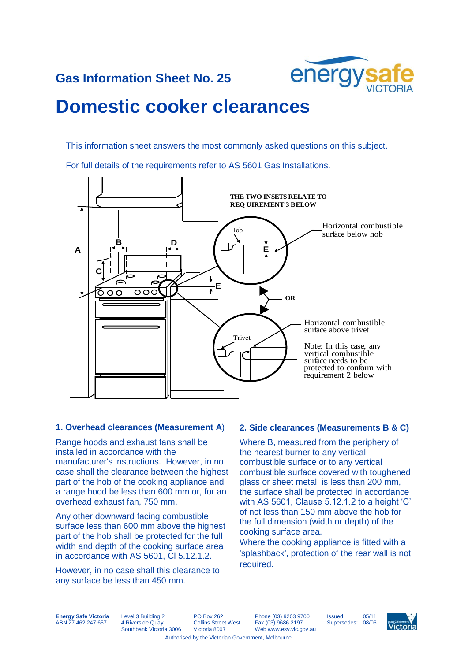

## **Gas Information Sheet No. 25**

# **Domestic cooker clearances**

This information sheet answers the most commonly asked questions on this subject.

For full details of the requirements refer to AS 5601 Gas Installations.



#### **1. Overhead clearances (Measurement A**)

Range hoods and exhaust fans shall be installed in accordance with the manufacturer's instructions. However, in no case shall the clearance between the highest part of the hob of the cooking appliance and a range hood be less than 600 mm or, for an overhead exhaust fan, 750 mm.

Any other downward facing combustible surface less than 600 mm above the highest part of the hob shall be protected for the full width and depth of the cooking surface area in accordance with AS 5601, Cl 5.12.1.2.

However, in no case shall this clearance to any surface be less than 450 mm.

#### **2. Side clearances (Measurements B & C)**

Where B, measured from the periphery of the nearest burner to any vertical combustible surface or to any vertical combustible surface covered with toughened glass or sheet metal, is less than 200 mm, the surface shall be protected in accordance with AS 5601, Clause 5.12.1.2 to a height 'C' of not less than 150 mm above the hob for the full dimension (width or depth) of the cooking surface area.

Where the cooking appliance is fitted with a 'splashback', protection of the rear wall is not required.

**Energy Safe Victoria** ABN 27 462 247 657

Level 3 Building 2 4 Riverside Quay Southbank Victoria 3006 PO Box 262 Collins Street West Victoria 8007

Phone (03) 9203 9700 Fax (03) 9686 2197 Web www.esv.vic.gov.au

Issued: 05/11<br>Supersedes: 08/06 Supersedes: